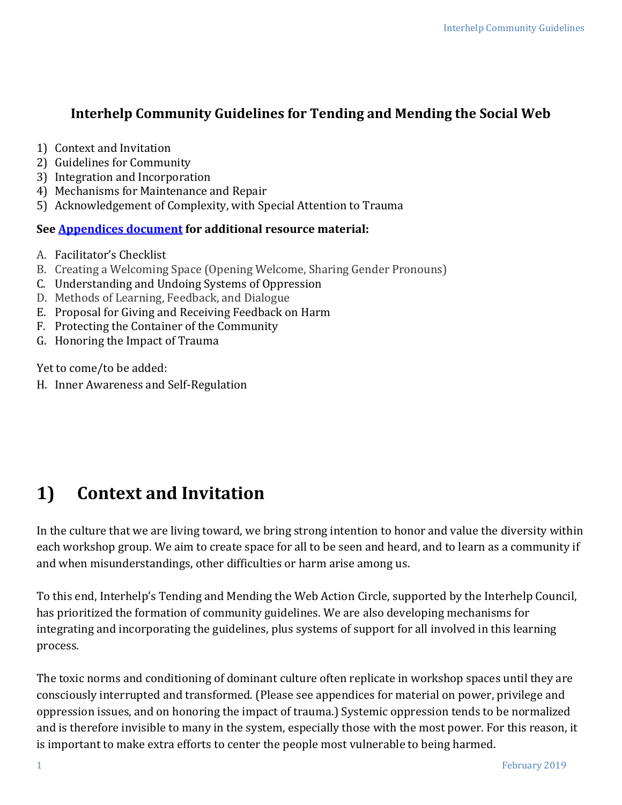#### **Interhelp Community Guidelines for Tending and Mending the Social Web**

- 1) Context and Invitation
- 2) Guidelines for Community
- 3) Integration and Incorporation
- 4) Mechanisms for Maintenance and Repair
- 5) Acknowledgement of Complexity, with Special Attention to Trauma

#### **See [Appendices](https://interhelpnetwork.org/wp-content/uploads/2018/04/Appendices_Feb-2019.pdf) document for additional resource material:**

- A. Facilitator's Checklist
- B. Creating a Welcoming Space (Opening Welcome, Sharing Gender Pronouns)
- C. Understanding and Undoing Systems of Oppression
- D. Methods of Learning, Feedback, and Dialogue
- E. Proposal for Giving and Receiving Feedback on Harm
- F. Protecting the Container of the Community
- G. Honoring the Impact of Trauma

Yet to come/to be added:

H. Inner Awareness and Self-Regulation

# **1) Context and Invitation**

In the culture that we are living toward, we bring strong intention to honor and value the diversity within each workshop group. We aim to create space for all to be seen and heard, and to learn as a community if and when misunderstandings, other difficulties or harm arise among us.

To this end, Interhelp's Tending and Mending the Web Action Circle, supported by the Interhelp Council, has prioritized the formation of community guidelines. We are also developing mechanisms for integrating and incorporating the guidelines, plus systems of support for all involved in this learning process.

The toxic norms and conditioning of dominant culture often replicate in workshop spaces until they are consciously interrupted and transformed. (Please see appendices for material on power, privilege and oppression issues, and on honoring the impact of trauma.) Systemic oppression tends to be normalized and is therefore invisible to many in the system, especially those with the most power. For this reason, it is important to make extra efforts to center the people most vulnerable to being harmed.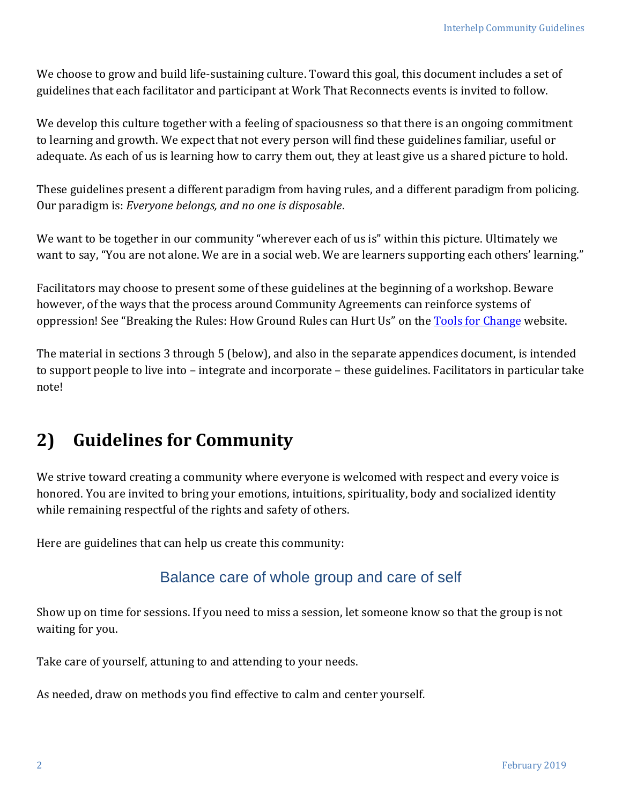We choose to grow and build life-sustaining culture. Toward this goal, this document includes a set of guidelines that each facilitator and participant at Work That Reconnects events is invited to follow.

We develop this culture together with a feeling of spaciousness so that there is an ongoing commitment to learning and growth. We expect that not every person will find these guidelines familiar, useful or adequate. As each of us is learning how to carry them out, they at least give us a shared picture to hold.

These guidelines present a different paradigm from having rules, and a different paradigm from policing. Our paradigm is: *Everyone belongs, and no one is disposable*.

We want to be together in our community "wherever each of us is" within this picture. Ultimately we want to say, "You are not alone. We are in a social web. We are learners supporting each others' learning."

Facilitators may choose to present some of these guidelines at the beginning of a workshop. Beware however, of the ways that the process around Community Agreements can reinforce systems of oppression! See "Breaking the Rules: How Ground Rules can Hurt Us" on the [Tools for Change](https://www.trainingforchange.org/wp-content/uploads/2017/10/Breaking-the-Rules.pdf) website.

The material in sections 3 through 5 (below), and also in the separate appendices document, is intended to support people to live into – integrate and incorporate – these guidelines. Facilitators in particular take note!

## **2) Guidelines for Community**

We strive toward creating a community where everyone is welcomed with respect and every voice is honored. You are invited to bring your emotions, intuitions, spirituality, body and socialized identity while remaining respectful of the rights and safety of others.

Here are guidelines that can help us create this community:

#### Balance care of whole group and care of self

Show up on time for sessions. If you need to miss a session, let someone know so that the group is not waiting for you.

Take care of yourself, attuning to and attending to your needs.

As needed, draw on methods you find effective to calm and center yourself*.*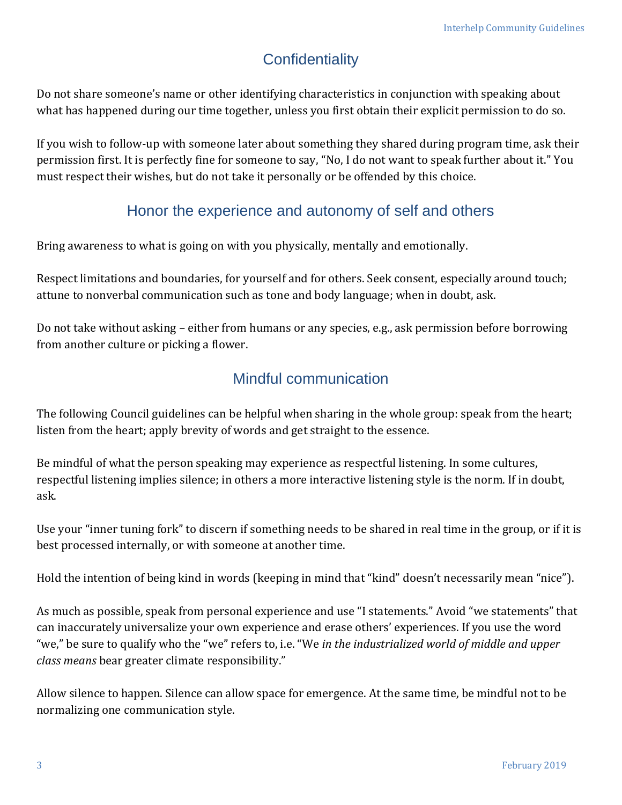## **Confidentiality**

Do not share someone's name or other identifying characteristics in conjunction with speaking about what has happened during our time together, unless you first obtain their explicit permission to do so.

If you wish to follow-up with someone later about something they shared during program time, ask their permission first. It is perfectly fine for someone to say, "No, I do not want to speak further about it." You must respect their wishes, but do not take it personally or be offended by this choice.

### Honor the experience and autonomy of self and others

Bring awareness to what is going on with you physically, mentally and emotionally.

Respect limitations and boundaries, for yourself and for others. Seek consent, especially around touch; attune to nonverbal communication such as tone and body language; when in doubt, ask.

Do not take without asking – either from humans or any species, e.g., ask permission before borrowing from another culture or picking a flower.

### Mindful communication

The following Council guidelines can be helpful when sharing in the whole group: speak from the heart; listen from the heart; apply brevity of words and get straight to the essence.

Be mindful of what the person speaking may experience as respectful listening. In some cultures, respectful listening implies silence; in others a more interactive listening style is the norm. If in doubt, ask.

Use your "inner tuning fork" to discern if something needs to be shared in real time in the group, or if it is best processed internally, or with someone at another time.

Hold the intention of being kind in words (keeping in mind that "kind" doesn't necessarily mean "nice").

As much as possible, speak from personal experience and use "I statements." Avoid "we statements" that can inaccurately universalize your own experience and erase others' experiences. If you use the word "we," be sure to qualify who the "we" refers to, i.e. "We *in the industrialized world of middle and upper class means* bear greater climate responsibility."

Allow silence to happen. Silence can allow space for emergence. At the same time, be mindful not to be normalizing one communication style.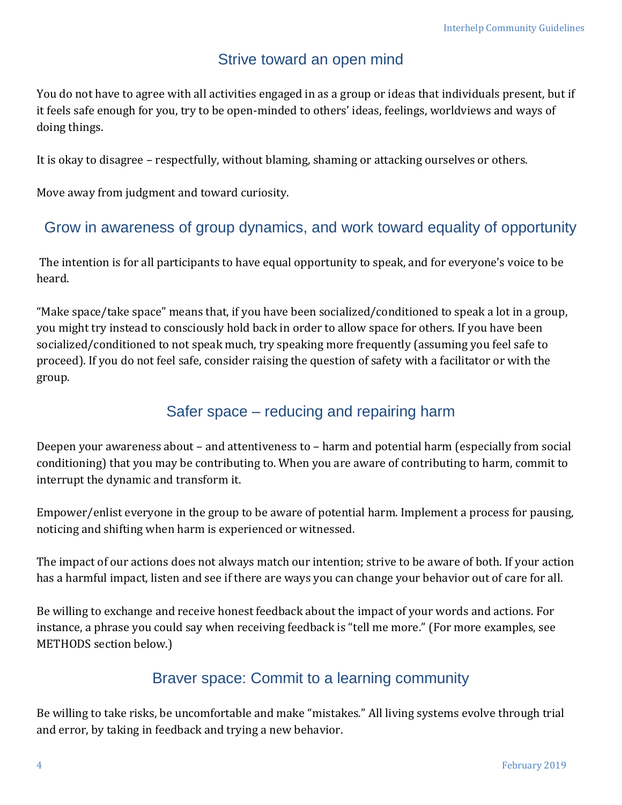### Strive toward an open mind

You do not have to agree with all activities engaged in as a group or ideas that individuals present, but if it feels safe enough for you, try to be open-minded to others' ideas, feelings, worldviews and ways of doing things.

It is okay to disagree – respectfully, without blaming, shaming or attacking ourselves or others.

Move away from judgment and toward curiosity.

#### Grow in awareness of group dynamics, and work toward equality of opportunity

The intention is for all participants to have equal opportunity to speak, and for everyone's voice to be heard.

"Make space/take space" means that, if you have been socialized/conditioned to speak a lot in a group, you might try instead to consciously hold back in order to allow space for others. If you have been socialized/conditioned to not speak much, try speaking more frequently (assuming you feel safe to proceed). If you do not feel safe, consider raising the question of safety with a facilitator or with the group.

### Safer space – reducing and repairing harm

Deepen your awareness about – and attentiveness to – harm and potential harm (especially from social conditioning) that you may be contributing to. When you are aware of contributing to harm, commit to interrupt the dynamic and transform it.

Empower/enlist everyone in the group to be aware of potential harm. Implement a process for pausing, noticing and shifting when harm is experienced or witnessed.

The impact of our actions does not always match our intention; strive to be aware of both. If your action has a harmful impact, listen and see if there are ways you can change your behavior out of care for all.

Be willing to exchange and receive honest feedback about the impact of your words and actions. For instance, a phrase you could say when receiving feedback is "tell me more." (For more examples, see METHODS section below.)

### Braver space: Commit to a learning community

Be willing to take risks, be uncomfortable and make "mistakes." All living systems evolve through trial and error, by taking in feedback and trying a new behavior.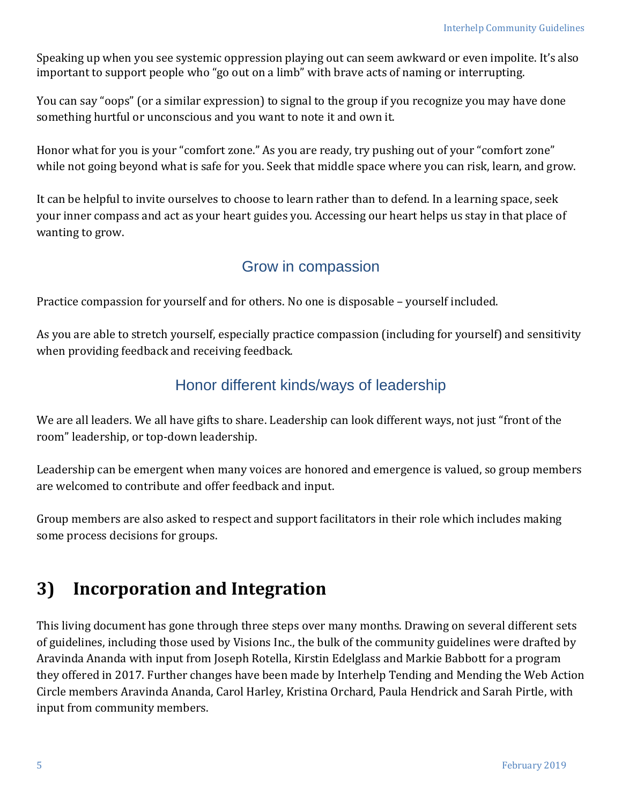Speaking up when you see systemic oppression playing out can seem awkward or even impolite. It's also important to support people who "go out on a limb" with brave acts of naming or interrupting.

You can say "oops" (or a similar expression) to signal to the group if you recognize you may have done something hurtful or unconscious and you want to note it and own it.

Honor what for you is your "comfort zone." As you are ready, try pushing out of your "comfort zone" while not going beyond what is safe for you. Seek that middle space where you can risk, learn, and grow.

It can be helpful to invite ourselves to choose to learn rather than to defend. In a learning space, seek your inner compass and act as your heart guides you. Accessing our heart helps us stay in that place of wanting to grow.

#### Grow in compassion

Practice compassion for yourself and for others. No one is disposable – yourself included.

As you are able to stretch yourself, especially practice compassion (including for yourself) and sensitivity when providing feedback and receiving feedback.

#### Honor different kinds/ways of leadership

We are all leaders. We all have gifts to share. Leadership can look different ways, not just "front of the room" leadership, or top-down leadership.

Leadership can be emergent when many voices are honored and emergence is valued, so group members are welcomed to contribute and offer feedback and input.

Group members are also asked to respect and support facilitators in their role which includes making some process decisions for groups.

# **3) Incorporation and Integration**

This living document has gone through three steps over many months. Drawing on several different sets of guidelines, including those used by Visions Inc., the bulk of the community guidelines were drafted by Aravinda Ananda with input from Joseph Rotella, Kirstin Edelglass and Markie Babbott for a program they offered in 2017. Further changes have been made by Interhelp Tending and Mending the Web Action Circle members Aravinda Ananda, Carol Harley, Kristina Orchard, Paula Hendrick and Sarah Pirtle, with input from community members.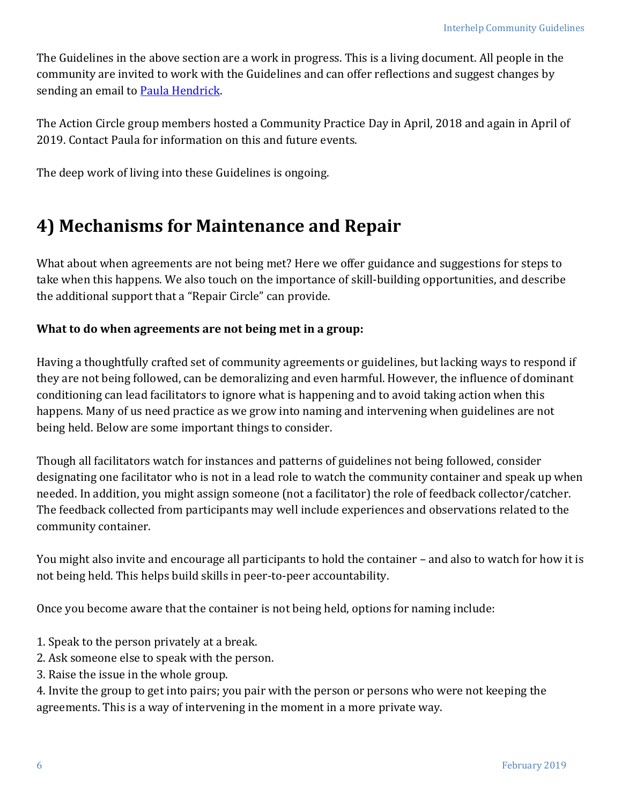The Guidelines in the above section are a work in progress. This is a living document. All people in the community are invited to work with the Guidelines and can offer reflections and suggest changes by sending an email to [Paula Hendrick.](mailto:interhepeditor@gmail.com?subject=Community%20Guidelines)

The Action Circle group members hosted a Community Practice Day in April, 2018 and again in April of 2019. Contact Paula for information on this and future events.

The deep work of living into these Guidelines is ongoing.

## **4) Mechanisms for Maintenance and Repair**

What about when agreements are not being met? Here we offer guidance and suggestions for steps to take when this happens. We also touch on the importance of skill-building opportunities, and describe the additional support that a "Repair Circle" can provide.

#### **What to do when agreements are not being met in a group:**

Having a thoughtfully crafted set of community agreements or guidelines, but lacking ways to respond if they are not being followed, can be demoralizing and even harmful. However, the influence of dominant conditioning can lead facilitators to ignore what is happening and to avoid taking action when this happens. Many of us need practice as we grow into naming and intervening when guidelines are not being held. Below are some important things to consider.

Though all facilitators watch for instances and patterns of guidelines not being followed, consider designating one facilitator who is not in a lead role to watch the community container and speak up when needed. In addition, you might assign someone (not a facilitator) the role of feedback collector/catcher. The feedback collected from participants may well include experiences and observations related to the community container.

You might also invite and encourage all participants to hold the container – and also to watch for how it is not being held. This helps build skills in peer-to-peer accountability.

Once you become aware that the container is not being held, options for naming include:

- 1. Speak to the person privately at a break.
- 2. Ask someone else to speak with the person.
- 3. Raise the issue in the whole group.

4. Invite the group to get into pairs; you pair with the person or persons who were not keeping the agreements. This is a way of intervening in the moment in a more private way.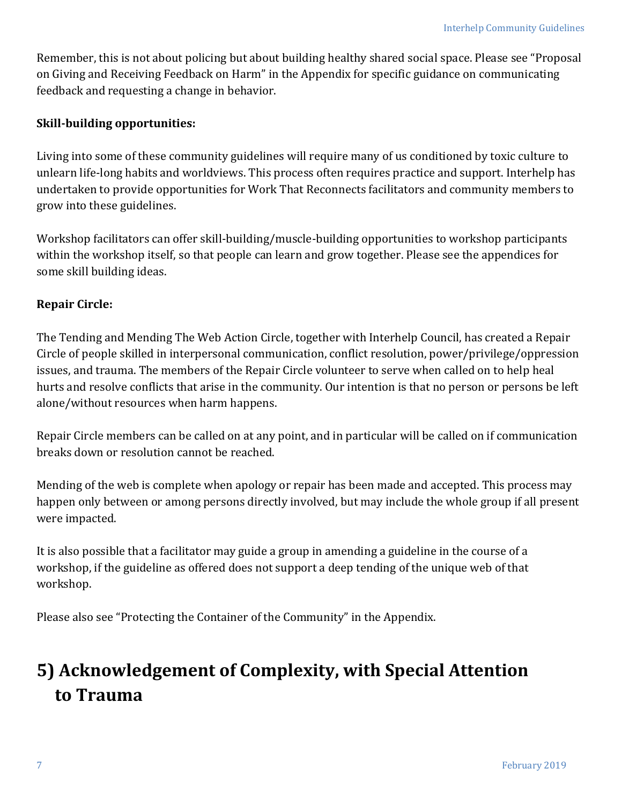Remember, this is not about policing but about building healthy shared social space. Please see "Proposal on Giving and Receiving Feedback on Harm" in the Appendix for specific guidance on communicating feedback and requesting a change in behavior.

#### **Skill-building opportunities:**

Living into some of these community guidelines will require many of us conditioned by toxic culture to unlearn life-long habits and worldviews. This process often requires practice and support. Interhelp has undertaken to provide opportunities for Work That Reconnects facilitators and community members to grow into these guidelines.

Workshop facilitators can offer skill-building/muscle-building opportunities to workshop participants within the workshop itself, so that people can learn and grow together. Please see the appendices for some skill building ideas.

#### **Repair Circle:**

The Tending and Mending The Web Action Circle, together with Interhelp Council, has created a Repair Circle of people skilled in interpersonal communication, conflict resolution, power/privilege/oppression issues, and trauma. The members of the Repair Circle volunteer to serve when called on to help heal hurts and resolve conflicts that arise in the community. Our intention is that no person or persons be left alone/without resources when harm happens.

Repair Circle members can be called on at any point, and in particular will be called on if communication breaks down or resolution cannot be reached.

Mending of the web is complete when apology or repair has been made and accepted. This process may happen only between or among persons directly involved, but may include the whole group if all present were impacted.

It is also possible that a facilitator may guide a group in amending a guideline in the course of a workshop, if the guideline as offered does not support a deep tending of the unique web of that workshop.

Please also see "Protecting the Container of the Community" in the Appendix.

# **5) Acknowledgement of Complexity, with Special Attention to Trauma**